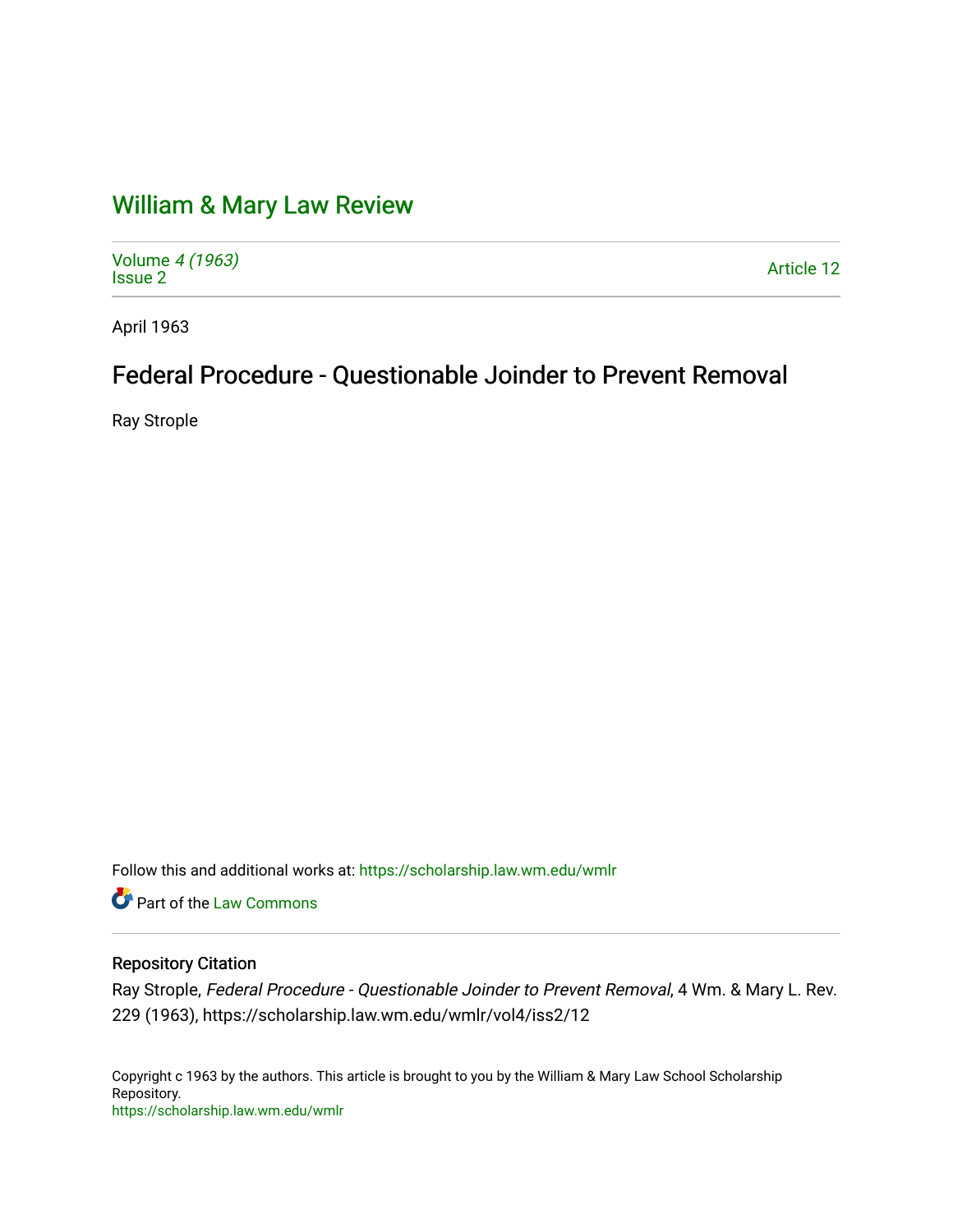# [William & Mary Law Review](https://scholarship.law.wm.edu/wmlr)

Volume [4 \(1963\)](https://scholarship.law.wm.edu/wmlr/vol4) volume 4 (1903)<br>[Issue 2](https://scholarship.law.wm.edu/wmlr/vol4/iss2) Article 12

April 1963

## Federal Procedure - Questionable Joinder to Prevent Removal

Ray Strople

Follow this and additional works at: [https://scholarship.law.wm.edu/wmlr](https://scholarship.law.wm.edu/wmlr?utm_source=scholarship.law.wm.edu%2Fwmlr%2Fvol4%2Fiss2%2F12&utm_medium=PDF&utm_campaign=PDFCoverPages)

Part of the [Law Commons](http://network.bepress.com/hgg/discipline/578?utm_source=scholarship.law.wm.edu%2Fwmlr%2Fvol4%2Fiss2%2F12&utm_medium=PDF&utm_campaign=PDFCoverPages)

## Repository Citation

Ray Strople, Federal Procedure - Questionable Joinder to Prevent Removal, 4 Wm. & Mary L. Rev. 229 (1963), https://scholarship.law.wm.edu/wmlr/vol4/iss2/12

Copyright c 1963 by the authors. This article is brought to you by the William & Mary Law School Scholarship Repository. <https://scholarship.law.wm.edu/wmlr>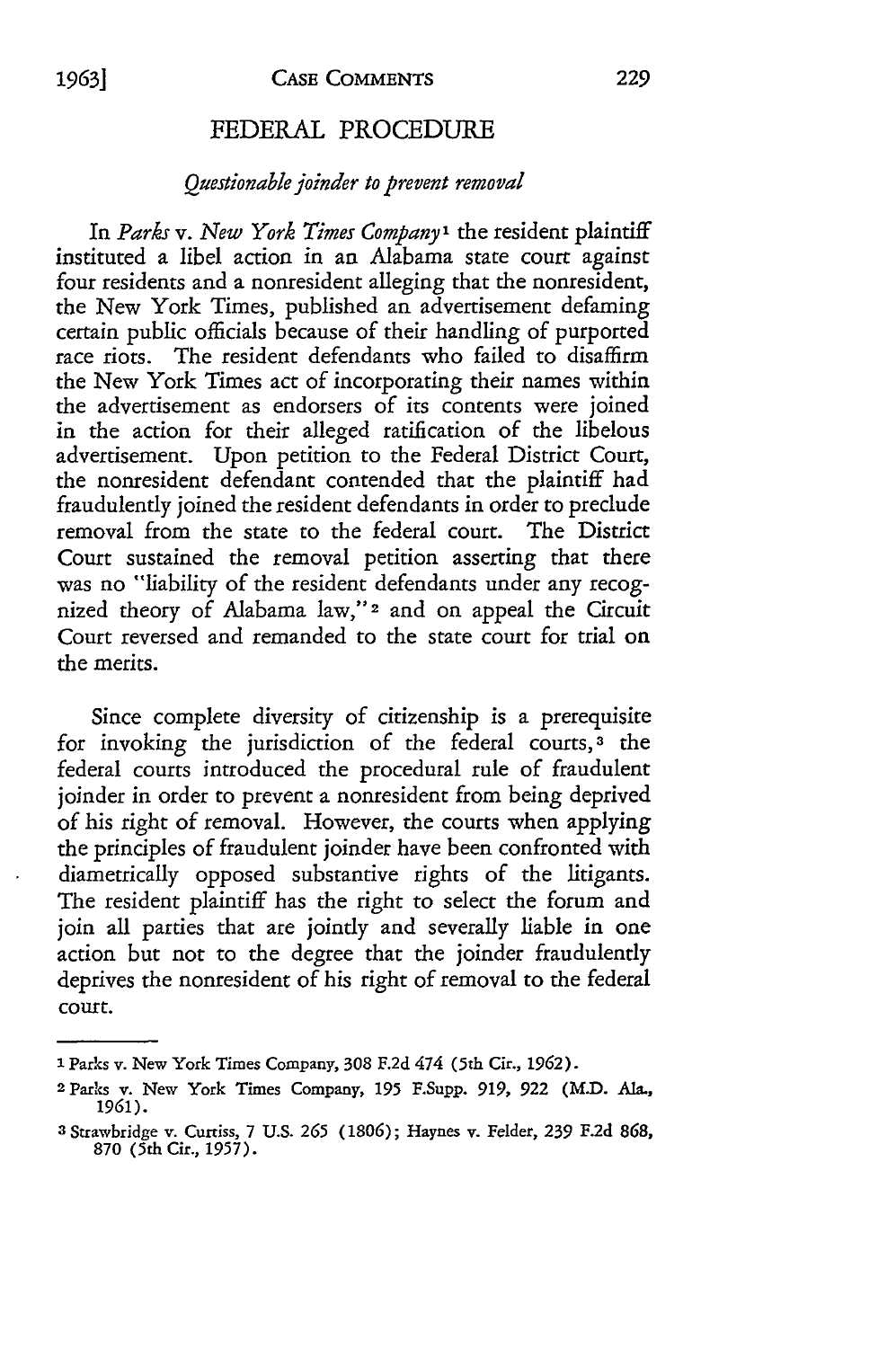### FEDERAL PROCEDURE

#### *Questionable joinder to prevent removal*

In *Parks v. New York Times Company'* the resident plaintiff instituted a libel action in an Alabama state court against four residents and a nonresident alleging that the nonresident, the New York Times, published an advertisement defaming certain public officials because of their handling of purported race riots. The resident defendants who failed to disaffirm the New York Times act of incorporating their names within the advertisement as endorsers of its contents were joined in the action for their alleged ratification of the libelous advertisement. Upon petition to the Federal District Court, the nonresident defendant contended that the plaintiff had fraudulently joined the resident defendants in order to preclude removal from the state to the federal court. The District Court sustained the removal petition asserting that there was no "liability of the resident defendants under any recognized theory of Alabama law,"2 and on appeal the Circuit Court reversed and remanded to the state court for trial on the merits.

Since complete diversity of citizenship is a prerequisite for invoking the jurisdiction of the federal courts,<sup>3</sup> the federal courts introduced the procedural rule of fraudulent joinder in order to prevent a nonresident from being deprived of his right of removal. However, the courts when applying the principles of fraudulent joinder have been confronted with diametrically opposed substantive rights of the litigants. The resident plaintiff has the right to select the forum and join all parties that are jointly and severally liable in one action but not to the degree that the joinder fraudulently deprives the nonresident of his right of removal to the federal court.

**I** Parks v. New York Times Company, 308 F.2d 474 (5th Cir., 1962).

<sup>2</sup> Parks v. New York Times Company, **195** F.Supp. 919, **922** (M.D. Ala., 1961).

<sup>3</sup> Strawbridge v. Curtiss, 7 U.S. **265 (1806);** Haynes v. Felder, 239 F.2d 868, **870** (5th Cir., 1957).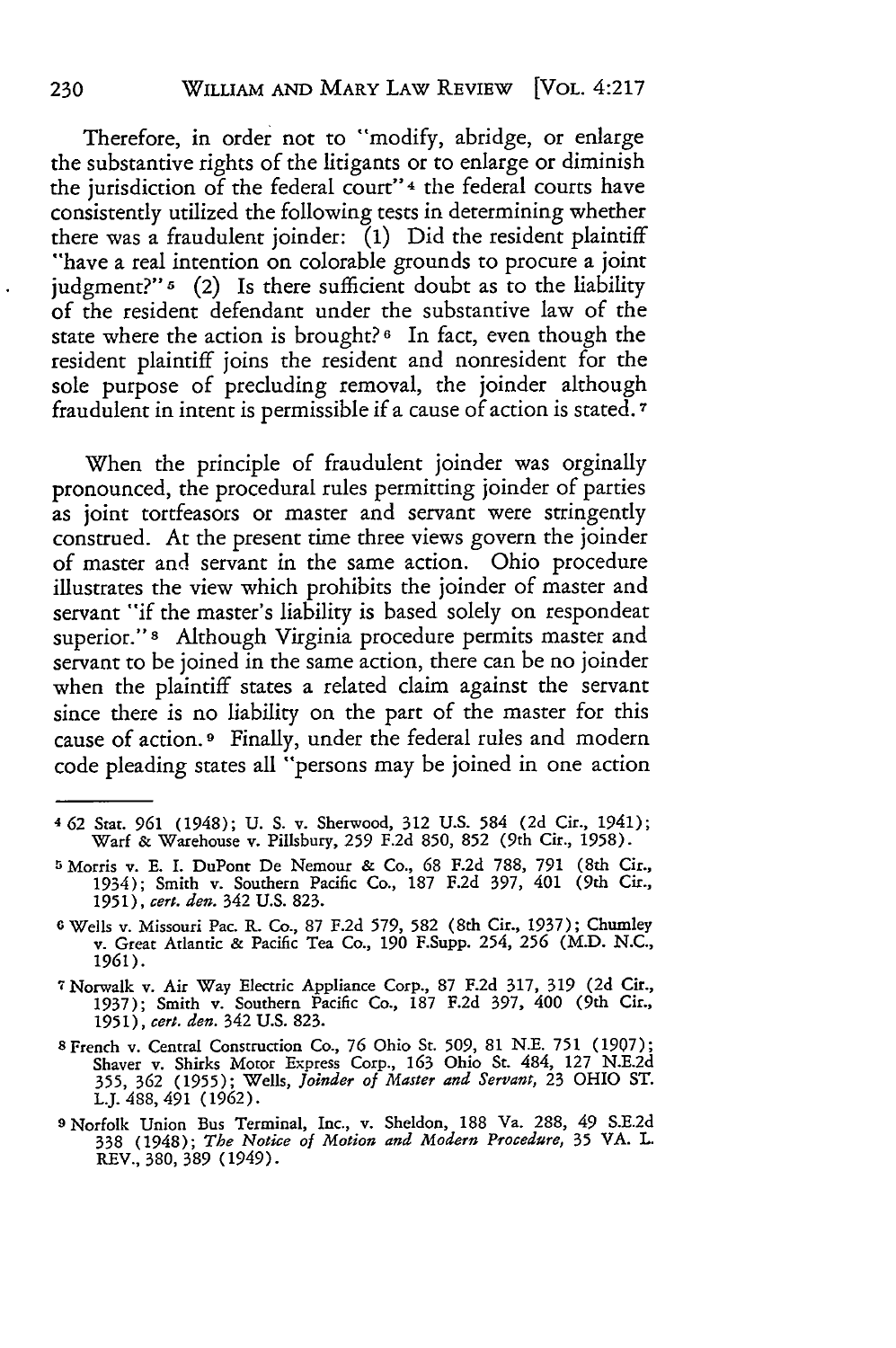Therefore, in order not to "modify, abridge, or enlarge the substantive rights of the litigants or to enlarge or diminish the jurisdiction of the federal court"4 the federal courts have consistently utilized the following tests in determining whether there was a fraudulent joinder: **(1)** Did the resident plaintiff "have a real intention on colorable grounds to procure a joint judgment?"<sup>5</sup> (2) Is there sufficient doubt as to the liability of the resident defendant under the substantive law of the state where the action is brought?<sup>6</sup> In fact, even though the resident plaintiff joins the resident and nonresident for the sole purpose of precluding removal, the joinder although fraudulent in intent is permissible if a cause of action is stated.7

When the principle of fraudulent joinder was orginally pronounced, the procedural rules permitting joinder of parties as joint tortfeasors or master and servant were stringently construed. At the present time three views govern the joinder of master and servant in the same action. Ohio procedure illustrates the view which prohibits the joinder of master and servant "if the master's liability is based solely on respondeat superior."s Although Virginia procedure permits master and servant to be joined in the same action, there can be no joinder when the plaintiff states a related claim against the servant since there is no liability on the part of the master for this cause of action. **9** Finally, under the federal rules and modern code pleading states all "persons may be joined in one action

- **5** Morris v. **E.** I. DuPont De Nemour **&** Co., **68 F.2d 788, 791** (8th Cir., 1934); Smith v. Southern Pacific Co., **187 F.2d 397, 401 (9th** Cir., **1951),** *cert. den.* **342** U.S. 823.
- **6** Wells v. Missouri Pac. R. Co., **87 F.2d 579, 582** (8th Cir., **1937);** Chumley v. Great Atlantic **&** Pacific Tea Co., **190** F.Supp. 254, **256** (M.D. **N.C., 1961).**

**7** Norwalk v. Air Way Electric Appliance Corp., **87 F.2d 317, 319 (2d** Cir., **1937);** Smith v. Southern Pacific Co., **187 F.2d 397, 400** (9th Cir., **1951),** *cert. den.* **342 U.S. 823.**

- **8** French v. Central Construction Co., **76** Ohio St. **509, 81 N.E. 751 (1907);** Shaver v. Shirks Motor Express Corp., **163** Ohio St. **484, 127 N.E.2d 355, 362 (1955);** Wells, *Joinder of Master and Servant,* **23** OHIO **ST.** L.J. 488, 491 (1962).
- **9** Norfolk Union Bus Terminal, Inc., v. Sheldon, **188 Va. 288, 49 S.E.2d 338** (1948); *The Notice of Motion and Modern Procedure,* 35 VA. L. REV., 380, 389 (1949).

**<sup>462</sup> Stat. 961** (1948); **U. S.** v. Sherwood, **312 U.S.** 584 **(2d** Cir., **1941); Warf &** Warehouse v. Pillsbury, **259 F.2d 850, 852** (9th Cir., **1958).**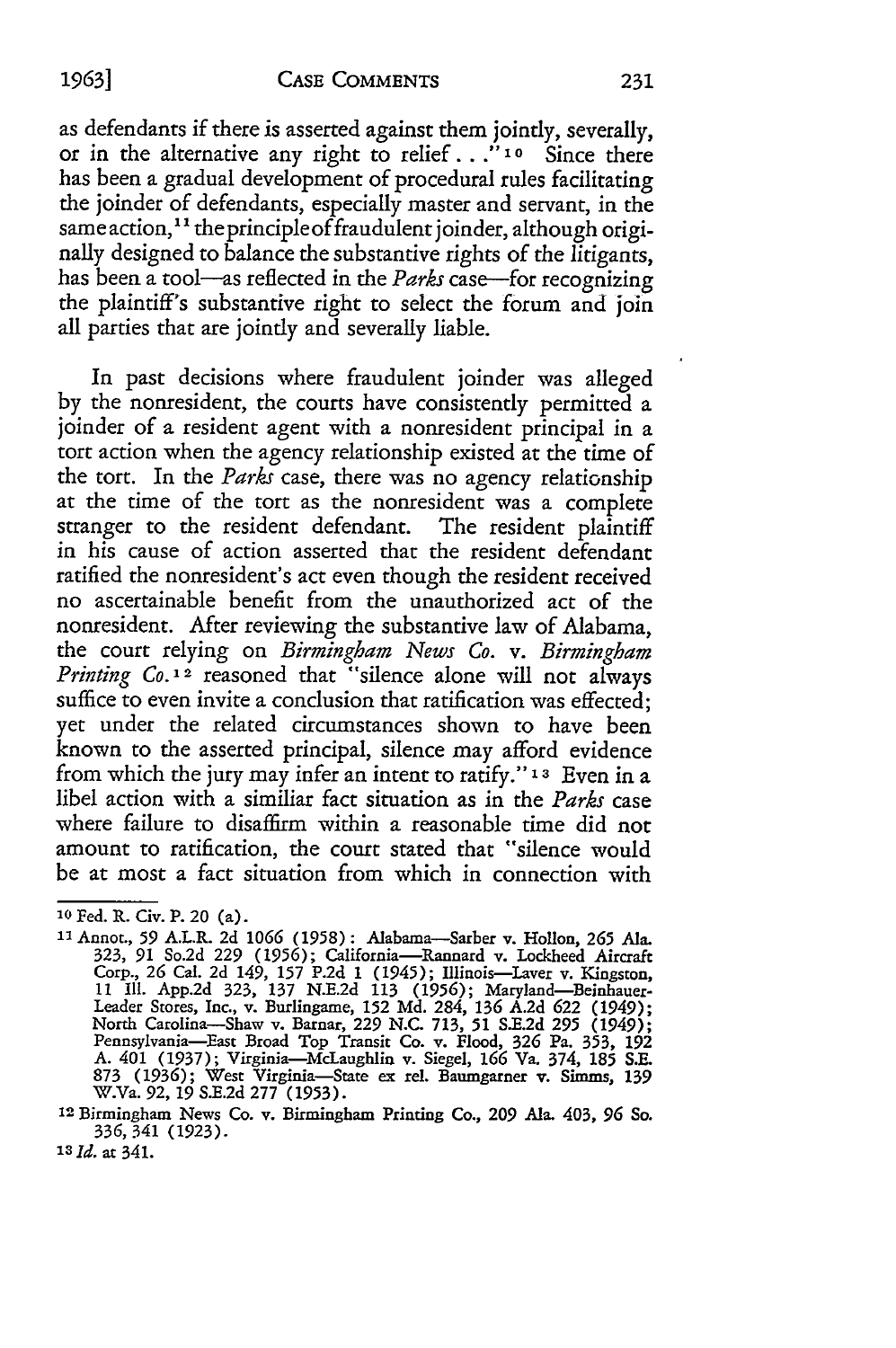as defendants if there is asserted against them jointly, severally, or in the alternative any right to relief. **. ." 1o** Since there has been a gradual development of procedural rules facilitating the joinder of defendants, especially master and servant, in the same action,<sup>11</sup> the principle of fraudulent joinder, although originally designed to balance the substantive rights of the litigants, has been a tool-as reflected in the *Parks* case-for recognizing the plaintiff's substantive right to select the forum and join all parties that are jointly and severally liable.

In past decisions where fraudulent joinder was alleged by the nonresident, the courts have consistently permitted a joinder of a resident agent with a nonresident principal in a tort action when the agency relationship existed at the time of the tort. In the *Parks* case, there was no agency relationship at the time of the tort as the nonresident was a complete stranger to the resident defendant. The resident plaintiff in his cause of action asserted that the resident defendant ratified the nonresident's act even though the resident received no ascertainable benefit from the unauthorized act of the nonresident. After reviewing the substantive law of Alabama, the court relying on *Birmingham News Co. v. Birmingham Printing Co.12* reasoned that "silence alone will not always suffice to even invite a conclusion that ratification was effected; yet under the related circumstances shown to have been known to the asserted principal, silence may afford evidence from which the jury may infer an intent to ratify." **13** Even in a libel action with a similiar fact situation as in the *Parks* case where failure to disaffirm within a reasonable time did not amount to ratification, the court stated that "silence would be at most a fact situation from which in connection with

*'3 Id.* at 341.

**<sup>10</sup>** Fed. R. Civ. P. 20 (a).

**<sup>1&</sup>quot;** Annot., **59** A.L.R. 2d **1066** (1958): Alabama-Sarber v. Hollon, **265** Ala. 323, **91** So.2d **229 (1956);** California-Rannard v. Lockheed Aircraft Corp., 26 Cal. 2d 149, 157 P.2d 1 (1945); Illinois—Laver v. Kingston,<br>11 Ill. App.2d 323, 137 N.E.2d 113 (1956); Maryland—Beinhauer-<br>Leader Stores, Inc., v. Burlingame, 152 Md. 284, 136 A.2d 622 (1949); North Carolina-Shaw v. Barnar, 229 N.C. 713, 51 S.E.2d 295 (1949); Pennsylvania-East Broad Top Transit Co. v. Flood, 326 Pa. 353, **<sup>192</sup>** A. 401 (1937); Virginia-McLaughlin v. Siegel, **166** Va. 374, 185 S.E. 873 **(1936);** West Virginia-State ex rel. Baumgarner v. Simms, **139** W.Va. **92,** 19 S.E.2d 277 (1953).

**<sup>12</sup>**Birmingham News Co. v. Birmingham Printing Co., **209 Ala. 403,** *96* **So.** 336, 341 (1923).